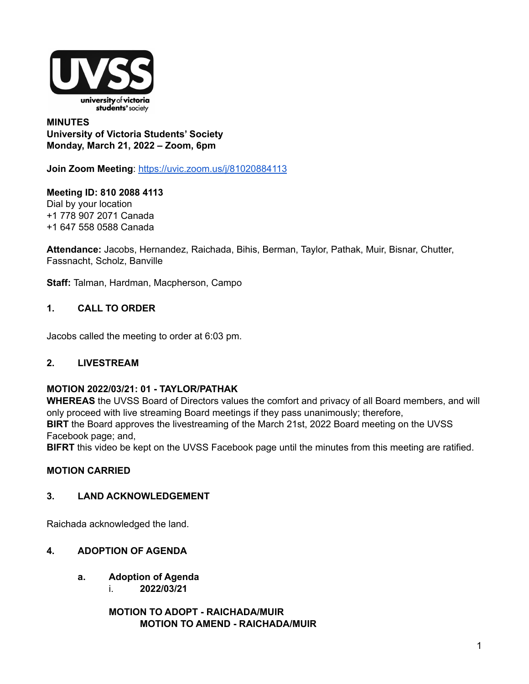

## **MINUTES University of Victoria Students' Society Monday, March 21, 2022 – Zoom, 6pm**

**Join Zoom Meeting**: <https://uvic.zoom.us/j/81020884113>

**Meeting ID: 810 2088 4113** Dial by your location +1 778 907 2071 Canada +1 647 558 0588 Canada

**Attendance:** Jacobs, Hernandez, Raichada, Bihis, Berman, Taylor, Pathak, Muir, Bisnar, Chutter, Fassnacht, Scholz, Banville

**Staff:** Talman, Hardman, Macpherson, Campo

# **1. CALL TO ORDER**

Jacobs called the meeting to order at 6:03 pm.

# **2. LIVESTREAM**

## **MOTION 2022/03/21: 01 - TAYLOR/PATHAK**

**WHEREAS** the UVSS Board of Directors values the comfort and privacy of all Board members, and will only proceed with live streaming Board meetings if they pass unanimously; therefore, **BIRT** the Board approves the livestreaming of the March 21st, 2022 Board meeting on the UVSS Facebook page; and,

**BIFRT** this video be kept on the UVSS Facebook page until the minutes from this meeting are ratified.

## **MOTION CARRIED**

## **3. LAND ACKNOWLEDGEMENT**

Raichada acknowledged the land.

## **4. ADOPTION OF AGENDA**

- **a. Adoption of Agenda**
	- i. **2022/03/21**

**MOTION TO ADOPT - RAICHADA/MUIR MOTION TO AMEND - RAICHADA/MUIR**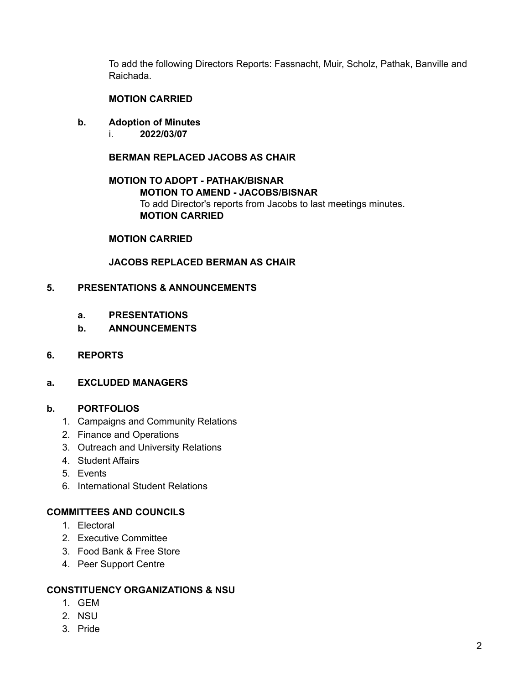To add the following Directors Reports: Fassnacht, Muir, Scholz, Pathak, Banville and Raichada.

## **MOTION CARRIED**

- **b. Adoption of Minutes**
	- i. **2022/03/07**

## **BERMAN REPLACED JACOBS AS CHAIR**

## **MOTION TO ADOPT - PATHAK/BISNAR MOTION TO AMEND - JACOBS/BISNAR** To add Director's reports from Jacobs to last meetings minutes. **MOTION CARRIED**

#### **MOTION CARRIED**

## **JACOBS REPLACED BERMAN AS CHAIR**

### **5. PRESENTATIONS & ANNOUNCEMENTS**

- **a. PRESENTATIONS**
- **b. ANNOUNCEMENTS**

#### **6. REPORTS**

## **a. EXCLUDED MANAGERS**

#### **b. PORTFOLIOS**

- 1. Campaigns and Community Relations
- 2. Finance and Operations
- 3. Outreach and University Relations
- 4. Student Affairs
- 5. Events
- 6. International Student Relations

## **COMMITTEES AND COUNCILS**

- 1. Electoral
- 2. Executive Committee
- 3. Food Bank & Free Store
- 4. Peer Support Centre

#### **CONSTITUENCY ORGANIZATIONS & NSU**

- 1. GEM
- 2. NSU
- 3. Pride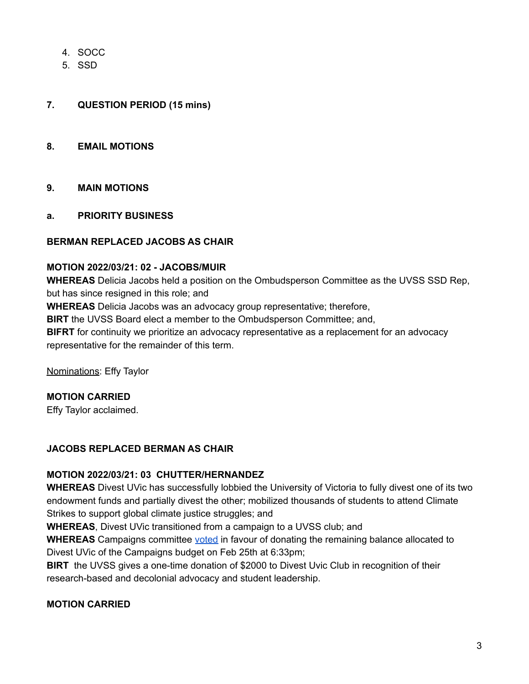- 4. SOCC
- 5. SSD

# **7. QUESTION PERIOD (15 mins)**

### **8. EMAIL MOTIONS**

## **9. MAIN MOTIONS**

**a. PRIORITY BUSINESS**

#### **BERMAN REPLACED JACOBS AS CHAIR**

## **MOTION 2022/03/21: 02 - JACOBS/MUIR**

**WHEREAS** Delicia Jacobs held a position on the Ombudsperson Committee as the UVSS SSD Rep, but has since resigned in this role; and

**WHEREAS** Delicia Jacobs was an advocacy group representative; therefore,

**BIRT** the UVSS Board elect a member to the Ombudsperson Committee; and,

**BIFRT** for continuity we prioritize an advocacy representative as a replacement for an advocacy representative for the remainder of this term.

Nominations: Effy Taylor

## **MOTION CARRIED**

Effy Taylor acclaimed.

## **JACOBS REPLACED BERMAN AS CHAIR**

#### **MOTION 2022/03/21: 03 CHUTTER/HERNANDEZ**

**WHEREAS** Divest UVic has successfully lobbied the University of Victoria to fully divest one of its two endowment funds and partially divest the other; mobilized thousands of students to attend Climate Strikes to support global climate justice struggles; and

**WHEREAS**, Divest UVic transitioned from a campaign to a UVSS club; and

**WHEREAS** Campaigns committee [voted](https://docs.google.com/document/d/1MLvoO0tU-CnqB1GTGh6z0YlbGRknliy7f4gsui7-UJU/edit) in favour of donating the remaining balance allocated to Divest UVic of the Campaigns budget on Feb 25th at 6:33pm;

**BIRT** the UVSS gives a one-time donation of \$2000 to Divest Uvic Club in recognition of their research-based and decolonial advocacy and student leadership.

## **MOTION CARRIED**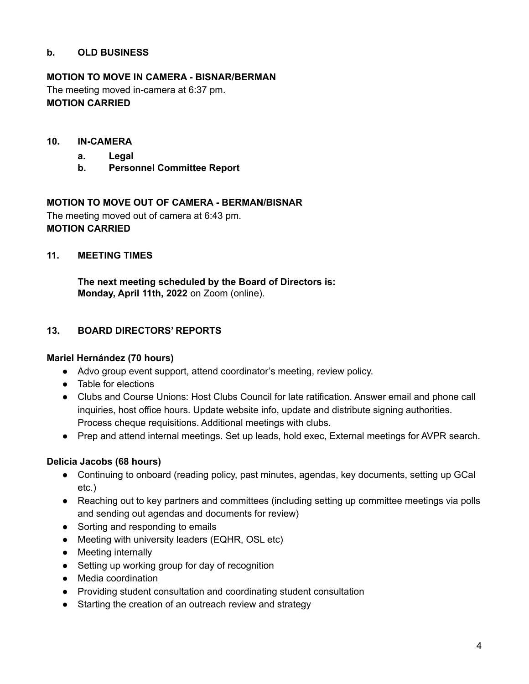# **b. OLD BUSINESS**

# **MOTION TO MOVE IN CAMERA - BISNAR/BERMAN**

The meeting moved in-camera at 6:37 pm. **MOTION CARRIED**

## **10. IN-CAMERA**

- **a. Legal**
- **b. Personnel Committee Report**

## **MOTION TO MOVE OUT OF CAMERA - BERMAN/BISNAR**

The meeting moved out of camera at 6:43 pm. **MOTION CARRIED**

## **11. MEETING TIMES**

**The next meeting scheduled by the Board of Directors is: Monday, April 11th, 2022** on Zoom (online).

## **13. BOARD DIRECTORS' REPORTS**

## **Mariel Hernández (70 hours)**

- Advo group event support, attend coordinator's meeting, review policy.
- Table for elections
- Clubs and Course Unions: Host Clubs Council for late ratification. Answer email and phone call inquiries, host office hours. Update website info, update and distribute signing authorities. Process cheque requisitions. Additional meetings with clubs.
- Prep and attend internal meetings. Set up leads, hold exec, External meetings for AVPR search.

## **Delicia Jacobs (68 hours)**

- Continuing to onboard (reading policy, past minutes, agendas, key documents, setting up GCal etc.)
- Reaching out to key partners and committees (including setting up committee meetings via polls and sending out agendas and documents for review)
- Sorting and responding to emails
- Meeting with university leaders (EQHR, OSL etc)
- Meeting internally
- Setting up working group for day of recognition
- Media coordination
- Providing student consultation and coordinating student consultation
- Starting the creation of an outreach review and strategy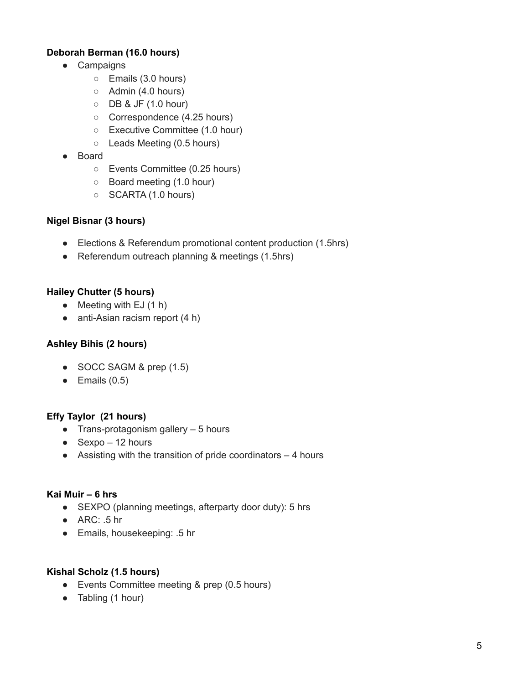# **Deborah Berman (16.0 hours)**

- Campaigns
	- Emails (3.0 hours)
	- Admin (4.0 hours)
	- DB & JF (1.0 hour)
	- Correspondence (4.25 hours)
	- Executive Committee (1.0 hour)
	- Leads Meeting (0.5 hours)
- Board
	- Events Committee (0.25 hours)
	- Board meeting (1.0 hour)
	- SCARTA (1.0 hours)

## **Nigel Bisnar (3 hours)**

- Elections & Referendum promotional content production (1.5hrs)
- Referendum outreach planning & meetings (1.5hrs)

## **Hailey Chutter (5 hours)**

- $\bullet$  Meeting with EJ (1 h)
- anti-Asian racism report (4 h)

# **Ashley Bihis (2 hours)**

- $\bullet$  SOCC SAGM & prep  $(1.5)$
- $\bullet$  Emails  $(0.5)$

# **Effy Taylor (21 hours)**

- $\bullet$  Trans-protagonism gallery  $-5$  hours
- $\bullet$  Sexpo 12 hours
- $\bullet$  Assisting with the transition of pride coordinators  $-4$  hours

## **Kai Muir – 6 hrs**

- SEXPO (planning meetings, afterparty door duty): 5 hrs
- $\bullet$  ARC: .5 hr
- Emails, housekeeping: .5 hr

## **Kishal Scholz (1.5 hours)**

- Events Committee meeting & prep (0.5 hours)
- Tabling (1 hour)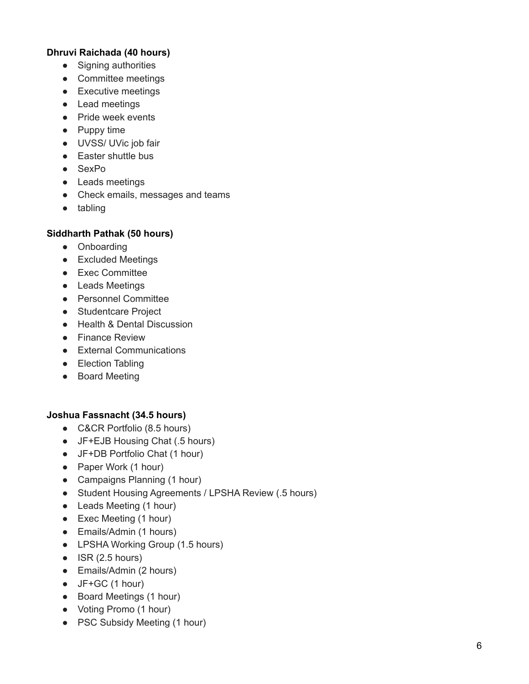# Dhruvi Raichada (40 hours)

- Signing authorities
- Committee meetings
- Executive meetings
- Lead meetings
- Pride week events
- Puppy time
- UVSS/ UVic job fair
- Easter shuttle bus
- SexPo
- Leads meetings
- Check emails, messages and teams
- tabling

# Siddharth Pathak (50 hours)

- Onboarding
- Excluded Meetings
- Exec Committee
- Leads Meetings
- Personnel Committee
- Studentcare Project
- Health & Dental Discussion
- Finance Review
- External Communications
- Election Tabling
- Board Meeting

## Joshua Fassnacht (34.5 hours)

- C&CR Portfolio (8.5 hours)
- JF+EJB Housing Chat (.5 hours)
- JF+DB Portfolio Chat (1 hour)
- Paper Work (1 hour)
- Campaigns Planning (1 hour)
- Student Housing Agreements / LPSHA Review (.5 hours)
- Leads Meeting (1 hour)
- Exec Meeting (1 hour)
- Emails/Admin (1 hours)
- LPSHA Working Group (1.5 hours)
- $\bullet$  ISR (2.5 hours)
- Emails/Admin (2 hours)
- $\bullet$  JF+GC (1 hour)
- Board Meetings (1 hour)
- Voting Promo (1 hour)
- PSC Subsidy Meeting (1 hour)